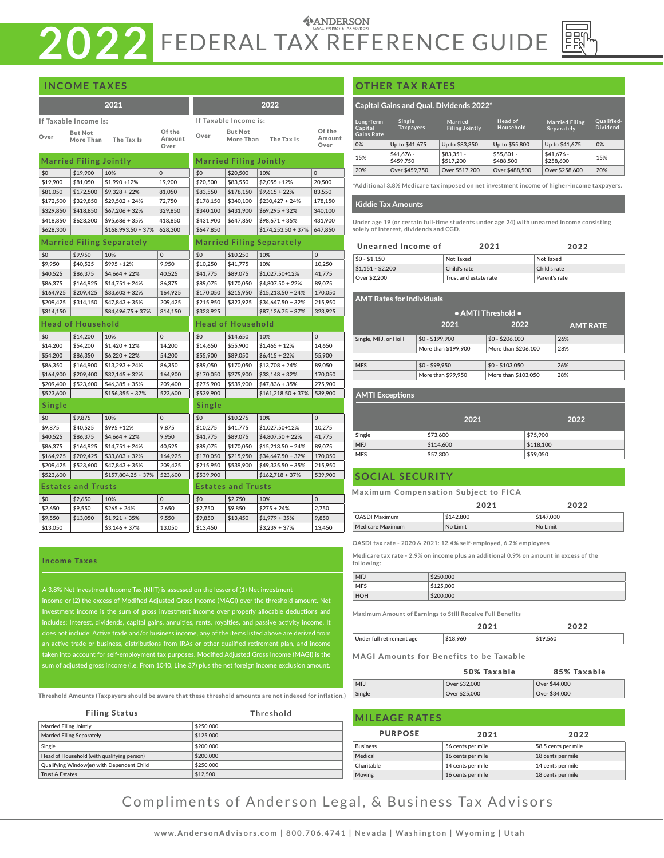# **ANDERSON 2022** FEDERAL TAX REFERENCE GUIDE

|  | <b>INCOME TAXES</b> |  |
|--|---------------------|--|
|  |                     |  |

|                       |                               | 2021                      |                          |                       |                               | 2022                             |                          |
|-----------------------|-------------------------------|---------------------------|--------------------------|-----------------------|-------------------------------|----------------------------------|--------------------------|
| If Taxable Income is: |                               |                           |                          | If Taxable Income is: |                               |                                  |                          |
| Over                  | <b>But Not</b><br>More Than   | The Tax Is                | Of the<br>Amount<br>Over | Over                  | <b>But Not</b><br>More Than   | The Tax Is                       | Of the<br>Amount<br>Over |
|                       | <b>Married Filing Jointly</b> |                           |                          |                       | <b>Married Filing Jointly</b> |                                  |                          |
| \$0                   | \$19,900                      | 10%                       | $\Omega$                 | \$0                   | \$20,500                      | 10%                              | $\Omega$                 |
| \$19,900              | \$81,050                      | $$1,990 + 12\%$           | 19,900                   | \$20,500              | \$83,550                      | $$2,055 + 12\%$                  | 20,500                   |
| \$81,050              | \$172,500                     | $$9,328 + 22\%$           | 81,050                   | \$83,550              | \$178,150                     | $$9,615 + 22\%$                  | 83,550                   |
| \$172,500             | \$329,850                     | $$29,502 + 24\%$          | 72,750                   | \$178,150             | \$340,100                     | $$230,427 + 24\%$                | 178,150                  |
| \$329,850             | \$418,850                     | $$67,206 + 32\%$          | 329,850                  | \$340,100             | \$431,900                     | $$69,295 + 32\%$                 | 340,100                  |
| \$418,850             | \$628,300                     | $$95,686 + 35%$           | 418,850                  | \$431,900             | \$647,850                     | $$98,671 + 35\%$                 | 431,900                  |
| \$628,300             |                               | $$168,993.50 + 37\%$      | 628,300                  | \$647,850             |                               | $$174,253.50 + 37\%$             | 647,850                  |
|                       |                               | Married Filing Separately |                          |                       |                               | <b>Married Filing Separately</b> |                          |
| \$0                   | \$9,950                       | 10%                       | $\mathbf 0$              | \$0                   | \$10,250                      | 10%                              | $\mathbf 0$              |
| \$9,950               | \$40,525                      | $$995 + 12\%$             | 9,950                    | \$10,250              | \$41,775                      | 10%                              | 10,250                   |
| \$40,525              | \$86,375                      | $$4,664 + 22\%$           | 40,525                   | \$41,775              | \$89,075                      | \$1,027.50+12%                   | 41,775                   |
| \$86,375              | \$164.925                     | $$14.751 + 24\%$          | 36.375                   | \$89,075              | \$170,050                     | $$4.807.50 + 22\%$               | 89,075                   |
| \$164,925             | \$209,425                     | $$33,603 + 32\%$          | 164,925                  | \$170,050             | \$215,950                     | $$15,213.50 + 24\%$              | 170,050                  |
| \$209,425             | \$314,150                     | $$47,843 + 35%$           | 209,425                  | \$215,950             | \$323,925                     | $$34,647.50 + 32\%$              | 215,950                  |
| \$314,150             |                               | $$84,496.75 + 37\%$       | 314,150                  | \$323,925             |                               | $$87,126.75 + 37\%$              | 323,925                  |
|                       | <b>Head of Household</b>      |                           |                          |                       | <b>Head of Household</b>      |                                  |                          |
| \$0                   | \$14,200                      | 10%                       | 0                        | \$0                   | \$14,650                      | 10%                              | $\mathbf 0$              |
| \$14,200              | \$54,200                      | $$1,420 + 12\%$           | 14,200                   | \$14,650              | \$55,900                      | $$1,465 + 12\%$                  | 14,650                   |
| \$54,200              | \$86,350                      | $$6,220 + 22\%$           | 54,200                   | \$55,900              | \$89,050                      | $$6,415 + 22\%$                  | 55,900                   |
| \$86,350              | \$164,900                     | $$13,293 + 24\%$          | 86,350                   | \$89,050              | \$170,050                     | $$13,708 + 24\%$                 | 89,050                   |
| \$164,900             | \$209,400                     | $$32,145 + 32\%$          | 164,900                  | \$170,050             | \$275,900                     | $$33,148 + 32\%$                 | 170,050                  |
| \$209,400             | \$523,600                     | $$46,385 + 35\%$          | 209,400                  | \$275,900             | \$539,900                     | $$47,836 + 35\%$                 | 275,900                  |
| \$523,600             |                               | $$156,355 + 37\%$         | 523,600                  | \$539,900             |                               | $$161,218.50 + 37%$              | 539,900                  |
| Single                |                               |                           |                          | Single                |                               |                                  |                          |
| \$0                   | \$9,875                       | 10%                       | 0                        | \$0                   | \$10,275                      | 10%                              | $\mathbf 0$              |
| \$9,875               | \$40,525                      | $$995 + 12\%$             | 9,875                    | \$10,275              | \$41,775                      | \$1,027.50+12%                   | 10,275                   |
| \$40,525              | \$86,375                      | $$4,664 + 22\%$           | 9,950                    | \$41,775              | \$89,075                      | $$4,807.50 + 22\%$               | 41,775                   |
| \$86,375              | \$164,925                     | $$14,751 + 24\%$          | 40,525                   | \$89,075              | \$170,050                     | $$15,213.50 + 24\%$              | 89,075                   |
| \$164,925             | \$209,425                     | $$33,603 + 32\%$          | 164,925                  | \$170,050             | \$215,950                     | $$34,647.50 + 32\%$              | 170,050                  |
| \$209,425             | \$523,600                     | $$47,843 + 35%$           | 209,425                  | \$215,950             | \$539,900                     | $$49,335.50 + 35\%$              | 215,950                  |
| \$523,600             |                               | $$157,804.25 + 37\%$      | 523,600                  | \$539,900             |                               | $$162,718 + 37\%$                | 539,900                  |
|                       | <b>Estates and Trusts</b>     |                           |                          |                       | <b>Estates and Trusts</b>     |                                  |                          |
| \$0                   | \$2,650                       | 10%                       | $\mathbf 0$              | \$0                   | \$2,750                       | 10%                              | $\mathbf 0$              |
| \$2,650               | \$9,550                       | $$265 + 24%$              | 2,650                    | \$2,750               | \$9,850                       | $$275 + 24%$                     | 2,750                    |
| \$9,550               | \$13,050                      | $$1,921 + 35\%$           | 9,550                    | \$9,850               | \$13,450                      | $$1,979 + 35\%$                  | 9,850                    |
| \$13,050              |                               | $$3,146 + 37%$            | 13,050                   | \$13,450              |                               | $$3,239 + 37\%$                  | 13,450                   |

#### Income Taxes

e Tax (NIIT) is assessed on the lesser of (1) Net i income or (2) the excess of Modified Adjusted Gross Income (MAGI) over the threshold amount. Net Investment income is the sum of gross investment income over properly allocable deductions and includes: Interest, dividends, capital gains, annuities, rents, royalties, and passive activity income. It does not include: Active trade and/or business income, any of the items listed above are derived from an active trade or business, distributions from IRAs or other qualified retirement plan, and income ount for self-employment tax purposes. Modified Adjusted Gross Income (MAGI) is the um of adjusted gross income (i.e. From 1040, Line 37) plus the net foreign incon

Threshold Amounts **(Taxpayers should be aware that these threshold amounts are not indexed for inflation.)** 

| <b>Filing Status</b>                       | Threshold |
|--------------------------------------------|-----------|
| <b>Married Filing Jointly</b>              | \$250,000 |
| <b>Married Filing Separately</b>           | \$125,000 |
| Single                                     | \$200,000 |
| Head of Household (with qualifying person) | \$200,000 |
| Qualifying Window(er) with Dependent Child | \$250,000 |
| Trust & Estates                            | \$12,500  |

#### **OTHER TAX RATES**

#### Capital Gains and Qual. Dividends 2022\*

| Long-Term<br>Capital<br><b>Gains Rate</b> | Single<br><b>Taxpayers</b> | <b>Married</b><br><b>Filing Jointly</b> | Head of<br>Household     | <b>Married Filing</b><br>Separately | Oualified-<br><b>Dividend</b> |
|-------------------------------------------|----------------------------|-----------------------------------------|--------------------------|-------------------------------------|-------------------------------|
| 0%                                        | Up to \$41,675             | Up to \$83,350                          | Up to \$55,800           | Up to \$41,675                      | 0%                            |
| 15%                                       | $$41.676 -$<br>\$459,750   | $$83.351 -$<br>\$517,200                | $$55.801 -$<br>\$488,500 | $$41.676-$<br>\$258,600             | 15%                           |
| 20%                                       | Over \$459,750             | Over \$517,200                          | Over \$488,500           | Over \$258,600                      | 20%                           |

**\*Additional 3.8% Medicare tax imposed on net investment income of higher-income taxpayers.**

#### Kiddie Tax Amounts

**Under age 19 (or certain full-time students under age 24) with unearned income consisting solely of interest, dividends and CGD.**

| Unearned Income of | 2021                  | 2022          |
|--------------------|-----------------------|---------------|
| $$0 - $1.150$      | Not Taxed             | Not Taxed     |
| $$1.151 - $2.200$  | Child's rate          | Child's rate  |
| Over \$2,200       | Trust and estate rate | Parent's rate |

| <b>AMT Rates for Individuals</b> |                     |                     |                 |  |  |
|----------------------------------|---------------------|---------------------|-----------------|--|--|
|                                  | • AMTI Threshold •  |                     |                 |  |  |
|                                  | 2021                | 2022                | <b>AMT RATE</b> |  |  |
| Single, MFJ, or HoH              | $$0 - $199.900$     | $$0 - $206,100$     | 26%             |  |  |
|                                  | More than \$199,900 | More than \$206,100 | 28%             |  |  |
|                                  |                     |                     |                 |  |  |
| <b>MFS</b>                       | $$0 - $99.950$      | $$0 - $103.050$     | 26%             |  |  |
|                                  | More than \$99,950  | More than \$103,050 | 28%             |  |  |

#### AMTI Exceptions

|            | 2021      | 2022      |
|------------|-----------|-----------|
| Single     | \$73,600  | \$75,900  |
| <b>MFJ</b> | \$114,600 | \$118,100 |
| <b>MFS</b> | \$57,300  | \$59,050  |

#### **SOCIAL SECURITY**

#### Maximum Compensation Subject to FICA

|                         | つ へ つ 1   | つハつつ      |
|-------------------------|-----------|-----------|
| <b>OASDI Maximum</b>    | \$142,800 | \$147,000 |
| <b>Medicare Maximum</b> | No Limit  | No Limit  |

**OASDI tax rate - 2020 & 2021: 12.4% self-employed, 6.2% employees**

**Medicare tax rate - 2.9% on income plus an additional 0.9% on amount in excess of the following:**

| <b>MFJ</b> | \$250,000 |
|------------|-----------|
| <b>MFS</b> | \$125,000 |
| HOH        | \$200,000 |

**Maximum Amount of Earnings to Still Receive Full Benefits**

|                           | 2024     | つのつつ     |
|---------------------------|----------|----------|
| Under full retirement age | \$18,960 | \$19,560 |

#### MAGI Amounts for Benefits to be Taxable

|            | 50% Taxable   | 85% Taxable   |
|------------|---------------|---------------|
| <b>MFJ</b> | Over \$32,000 | Over \$44,000 |
| Single     | Over \$25,000 | Over \$34,000 |

| <b>MILEAGE RATES</b> |                   |                     |  |
|----------------------|-------------------|---------------------|--|
| <b>PURPOSE</b>       | 2021              | 2022                |  |
| <b>Business</b>      | 56 cents per mile | 58.5 cents per mile |  |
| Medical              | 16 cents per mile | 18 cents per mile   |  |
| Charitable           | 14 cents per mile | 14 cents per mile   |  |
| Moving               | 16 cents per mile | 18 cents per mile   |  |

Compliments of Anderson Legal, & Business Tax Advisors

 $\overline{\phantom{a}}$